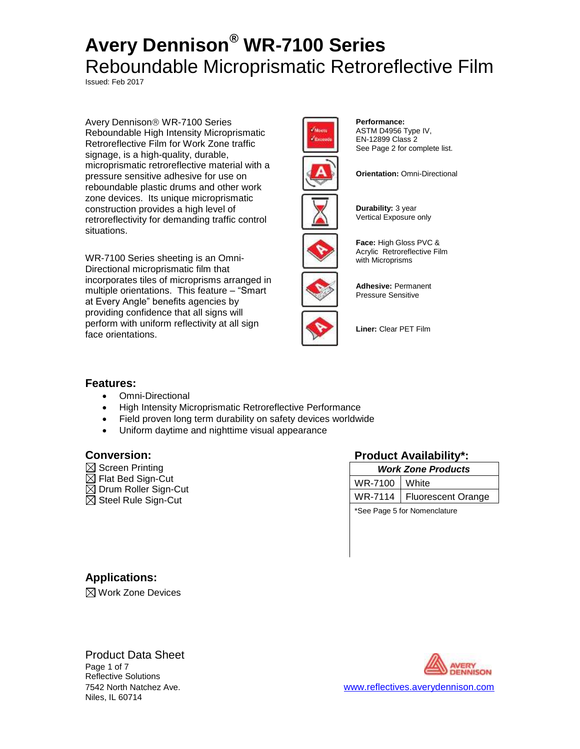Issued: Feb 2017

Avery Dennison<sup>®</sup> WR-7100 Series Reboundable High Intensity Microprismatic Retroreflective Film for Work Zone traffic signage, is a high-quality, durable, microprismatic retroreflective material with a pressure sensitive adhesive for use on reboundable plastic drums and other work zone devices. Its unique microprismatic construction provides a high level of retroreflectivity for demanding traffic control situations.

WR-7100 Series sheeting is an Omni-Directional microprismatic film that incorporates tiles of microprisms arranged in multiple orientations. This feature – "Smart at Every Angle" benefits agencies by providing confidence that all signs will perform with uniform reflectivity at all sign face orientations.



**Performance:** ASTM D4956 Type IV, EN-12899 Class 2 See Page 2 for complete list.



**Durability:** 3 year

**Orientation: Omni-Directional** 



**Face:** High Gloss PVC &

Vertical Exposure only



**Adhesive:** Permanent Pressure Sensitive

**Liner:** Clear PET Film

### **Features:**

- Omni-Directional
- High Intensity Microprismatic Retroreflective Performance
- Field proven long term durability on safety devices worldwide
- Uniform daytime and nighttime visual appearance

- $\boxtimes$  Screen Printing
- $\boxtimes$  Flat Bed Sign-Cut
- $\boxtimes$  Drum Roller Sign-Cut
- $\boxtimes$  Steel Rule Sign-Cut

### **Conversion: Product Availability\*:**

| <b>Work Zone Products</b> |                              |  |
|---------------------------|------------------------------|--|
| WR-7100   White           |                              |  |
|                           | WR-7114   Fluorescent Orange |  |

\*See Page 5 for Nomenclature

**Applications:**

 $\boxtimes$  Work Zone Devices

### Product Data Sheet Page 1 of 7 Reflective Solutions Niles, IL 60714



7542 North Natchez Ave. [www.reflectives.averydennison.com](http://www.reflectives.averydennison.com/)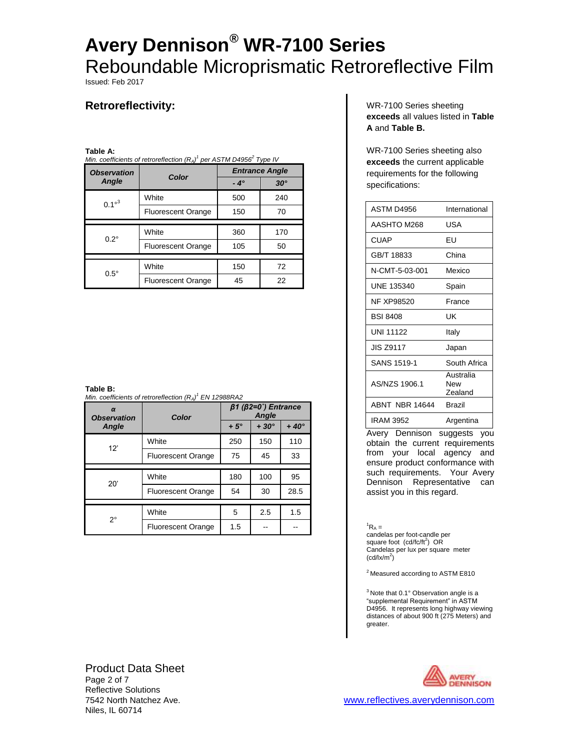Issued: Feb 2017

# **Retroreflectivity:**

### **Table A:**

| Min. coefficients of retroreflection $(R_A)^1$ per ASTM D4956 <sup>2</sup> Type IV |                           |                       |            |  |
|------------------------------------------------------------------------------------|---------------------------|-----------------------|------------|--|
| <b>Observation</b>                                                                 | Color                     | <b>Entrance Angle</b> |            |  |
| Angle                                                                              |                           | $-4^\circ$            | $30^\circ$ |  |
| $0.1^{\circ 3}$                                                                    | White                     | 500                   | 240        |  |
|                                                                                    | <b>Fluorescent Orange</b> | 150                   | 70         |  |
|                                                                                    |                           |                       |            |  |
| $0.2^\circ$                                                                        | White                     | 360                   | 170        |  |
|                                                                                    | <b>Fluorescent Orange</b> | 105                   | 50         |  |
|                                                                                    |                           |                       |            |  |
| $0.5^\circ$                                                                        | White                     | 150                   | 72         |  |
|                                                                                    | <b>Fluorescent Orange</b> | 45                    | 22         |  |

**Table B:**

*Min. coefficients of retroreflection (RA) <sup>1</sup> EN 12988RA2*

| $\alpha$<br><b>Observation</b> | Color                     |            | $\beta$ 1 ( $\beta$ 2=0°) Entrance<br><b>Angle</b> |             |
|--------------------------------|---------------------------|------------|----------------------------------------------------|-------------|
| Angle                          |                           | $+5^\circ$ | $+30^\circ$                                        | $+40^\circ$ |
| 12'                            | White                     | 250        | 150                                                | 110         |
|                                | <b>Fluorescent Orange</b> | 75         | 45                                                 | 33          |
|                                |                           |            |                                                    |             |
| 20'                            | White                     | 180        | 100                                                | 95          |
|                                | <b>Fluorescent Orange</b> | 54         | 30                                                 | 28.5        |
|                                |                           |            |                                                    |             |
| 2°                             | White                     | 5          | 2.5                                                | 1.5         |
|                                | <b>Fluorescent Orange</b> | 1.5        |                                                    |             |

WR-7100 Series sheeting **exceeds** all values listed in **Table A** and **Table B.**

WR-7100 Series sheeting also **exceeds** the current applicable requirements for the following specifications:

| ASTM D4956       | International               |
|------------------|-----------------------------|
| AASHTO M268      | USA                         |
| <b>CUAP</b>      | FU                          |
| GB/T 18833       | China                       |
| N-CMT-5-03-001   | Mexico                      |
| UNF 135340       | Spain                       |
| NF XP98520       | France                      |
| <b>BSI 8408</b>  | UΚ                          |
| <b>UNI 11122</b> | Italy                       |
| <b>JIS Z9117</b> | Japan                       |
| SANS 1519-1      | South Africa                |
| AS/NZS 1906.1    | Australia<br>New<br>Zealand |
| ABNT NBR 14644   | <b>Brazil</b>               |
| <b>IRAM 3952</b> | Argentina                   |

Avery Dennison suggests you obtain the current requirements from your local agency and ensure product conformance with such requirements. Your Avery Dennison Representative can assist you in this regard.

 ${}^{1}R_{A} =$ candelas per foot-candle per square foot (cd/fc/ft<sup>2</sup>) OR Candelas per lux per square meter  $(cd$ /x/m<sup>2</sup>)

 $2^2$  Measured according to ASTM E810

 $3$  Note that 0.1 $^{\circ}$  Observation angle is a "supplemental Requirement" in ASTM D4956. It represents long highway viewing distances of about 900 ft (275 Meters) and greater.

Product Data Sheet Page 2 of 7 Reflective Solutions Niles, IL 60714

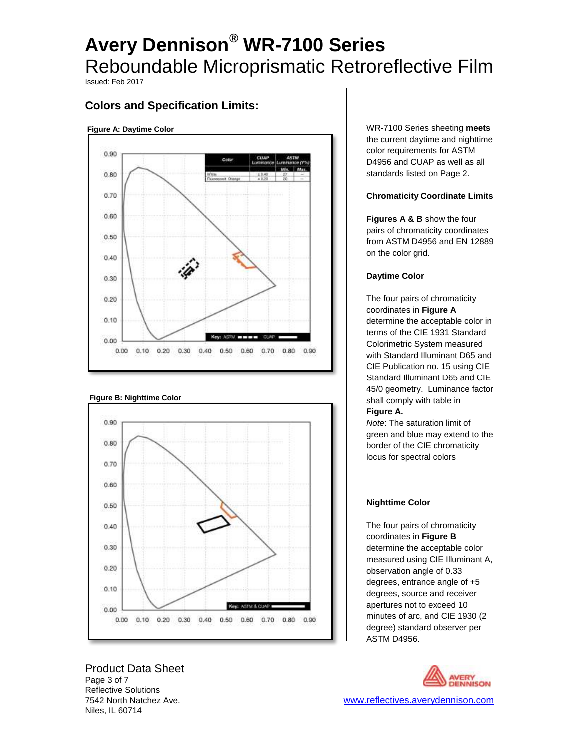Issued: Feb 2017

# **Colors and Specification Limits:**

#### **Figure A: Daytime Color**



### **Figure B: Nighttime Color**



Product Data Sheet Page 3 of 7 Reflective Solutions Niles, IL 60714

WR-7100 Series sheeting **meets** the current daytime and nighttime color requirements for ASTM D4956 and CUAP as well as all standards listed on Page 2.

### **Chromaticity Coordinate Limits**

**Figures A & B** show the four pairs of chromaticity coordinates from ASTM D4956 and EN 12889 on the color grid.

### **Daytime Color**

The four pairs of chromaticity coordinates in **Figure A**  determine the acceptable color in terms of the CIE 1931 Standard Colorimetric System measured with Standard Illuminant D65 and CIE Publication no. 15 using CIE Standard Illuminant D65 and CIE 45/0 geometry.Luminance factor shall comply with table in **Figure A.**

*Note*: The saturation limit of green and blue may extend to the border of the CIE chromaticity

locus for spectral colors

### **Nighttime Color**

The four pairs of chromaticity coordinates in **Figure B**  determine the acceptable color measured using CIE Illuminant A, observation angle of 0.33 degrees, entrance angle of +5 degrees, source and receiver apertures not to exceed 10 minutes of arc, and CIE 1930 (2 degree) standard observer per ASTM D4956.

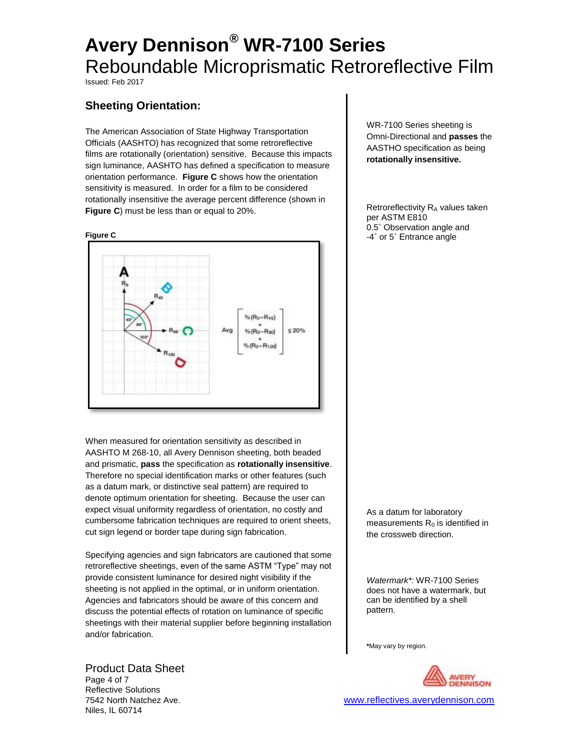Issued: Feb 2017

# **Sheeting Orientation:**

The American Association of State Highway Transportation Officials (AASHTO) has recognized that some retroreflective films are rotationally (orientation) sensitive. Because this impacts sign luminance, AASHTO has defined a specification to measure orientation performance. **Figure C** shows how the orientation sensitivity is measured. In order for a film to be considered rotationally insensitive the average percent difference (shown in **Figure C**) must be less than or equal to 20%.



When measured for orientation sensitivity as described in AASHTO M 268-10, all Avery Dennison sheeting, both beaded and prismatic, **pass** the specification as **rotationally insensitive**. Therefore no special identification marks or other features (such as a datum mark, or distinctive seal pattern) are required to denote optimum orientation for sheeting. Because the user can expect visual uniformity regardless of orientation, no costly and cumbersome fabrication techniques are required to orient sheets, cut sign legend or border tape during sign fabrication.

Specifying agencies and sign fabricators are cautioned that some retroreflective sheetings, even of the same ASTM "Type" may not provide consistent luminance for desired night visibility if the sheeting is not applied in the optimal, or in uniform orientation. Agencies and fabricators should be aware of this concern and discuss the potential effects of rotation on luminance of specific sheetings with their material supplier before beginning installation and/or fabrication.

### Product Data Sheet

Page 4 of 7 Reflective Solutions 7542 North Natchez Ave. [www.reflectives.averydennison.com](http://www.reflectives.averydennison.com/) Niles, IL 60714

WR-7100 Series sheeting is Omni-Directional and **passes** the AASTHO specification as being **rotationally insensitive.**

Retroreflectivity R<sub>A</sub> values taken per ASTM E810 0.5˚ Observation angle and -4˚ or 5˚ Entrance angle

As a datum for laboratory measurements  $R_0$  is identified in the crossweb direction.

*Watermark\*:* WR-7100 Series does not have a watermark, but can be identified by a shell pattern.

**\***May vary by region.

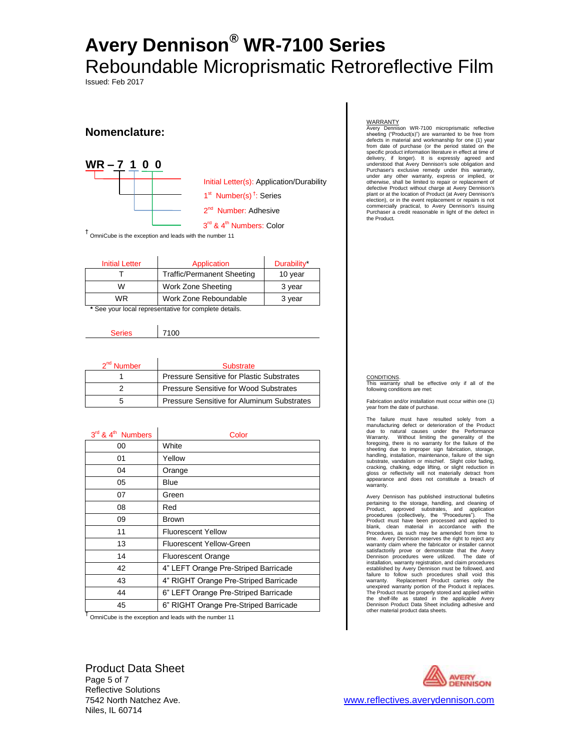Issued: Feb 2017

## **Nomenclature:**



† OmniCube is the exception and leads with the number 11

| <b>Initial Letter</b>                                 | Application                       | Durability* |  |
|-------------------------------------------------------|-----------------------------------|-------------|--|
|                                                       | <b>Traffic/Permanent Sheeting</b> | 10 year     |  |
| W                                                     | Work Zone Sheeting                | 3 year      |  |
| <b>WR</b>                                             | Work Zone Reboundable             | 3 year      |  |
| * See your local representative for complete details. |                                   |             |  |

| <b>SANAS</b> | 7100 |
|--------------|------|
|              |      |

| 2 <sup>nd</sup> Number | Substrate                                         |  |
|------------------------|---------------------------------------------------|--|
|                        | Pressure Sensitive for Plastic Substrates         |  |
|                        | Pressure Sensitive for Wood Substrates            |  |
|                        | <b>Pressure Sensitive for Aluminum Substrates</b> |  |

| 3rd & 4 <sup>th</sup> Numbers | Color                                 |
|-------------------------------|---------------------------------------|
| 00                            | White                                 |
| 01                            | Yellow                                |
| 04                            | Orange                                |
| 05                            | Blue                                  |
| 07                            | Green                                 |
| 08                            | Red                                   |
| 09                            | <b>Brown</b>                          |
| 11                            | <b>Fluorescent Yellow</b>             |
| 13                            | Fluorescent Yellow-Green              |
| 14                            | <b>Fluorescent Orange</b>             |
| 42                            | 4" LEFT Orange Pre-Striped Barricade  |
| 43                            | 4" RIGHT Orange Pre-Striped Barricade |
| 44                            | 6" LEFT Orange Pre-Striped Barricade  |
| 45                            | 6" RIGHT Orange Pre-Striped Barricade |

† OmniCube is the exception and leads with the number 11

Product Data Sheet Page 5 of 7 Reflective Solutions Niles, IL 60714

#### **WARRANTY**

Avery Dennison WR-7100 microprismatic reflective sheeting ("Product(s)") are warranted to be free from defects in material and workmanship for one (1) year from date of purchase (or the period stated on the specific product information literature in effect at time of delivery, if longer). It is expressly agreed and understood that Avery Dennison's sole obligation and Purchaser's exclusive remedy under this warranty, under any other warranty, express or implied, or otherwise, shall be limited to repair or replacement of defective Product without charge at Avery Dennison's plant or at the location of Product (at Avery Dennison's election), or in the event replacement or repairs is not commercially practical, to Avery Dennison's issuing Purchaser a credit reasonable in light of the defect in the Product*.*

#### CONDITIONS.

This warranty shall be effective only if all of the following conditions are met:

Fabrication and/or installation must occur within one (1) year from the date of purchase.

The failure must have resulted solely from a manufacturing defect or deterioration of the Product due to natural causes under the Performance Warranty. Without limiting the generality of the foregoing, there is no warranty for the failure of the sheeting due to improper sign fabrication, storage, handling, installation, maintenance, failure of the sign substrate, vandalism or mischief. Slight color fading, cracking, chalking, edge lifting, or slight reduction in gloss or reflectivity will not materially detract from appearance and does not constitute a breach of warranty.

Avery Dennison has published instructional bulletins pertaining to the storage, handling, and cleaning of<br>Product, approved substrates, and application<br>procedures (collectively, the "Procedures"). The<br>Product must have been processed and applied to<br>blank, clean material in a Procedures, as such may be amended from time to time. Avery Dennison reserves the right to reject any warranty claim where the fabricator or installer cannot satisfactorily prove or demonstrate that the Avery Dennison procedures were utilized. The date of installation, warranty registration, and claim procedures established by Avery Dennison must be followed, and failure to follow such procedures shall void this<br>warranty. Replacement Product carries only the<br>unexpired warranty portion of the Product it replaces.<br>The Product must be properly stored and applied within<br>the shelf-life other material product data sheets.

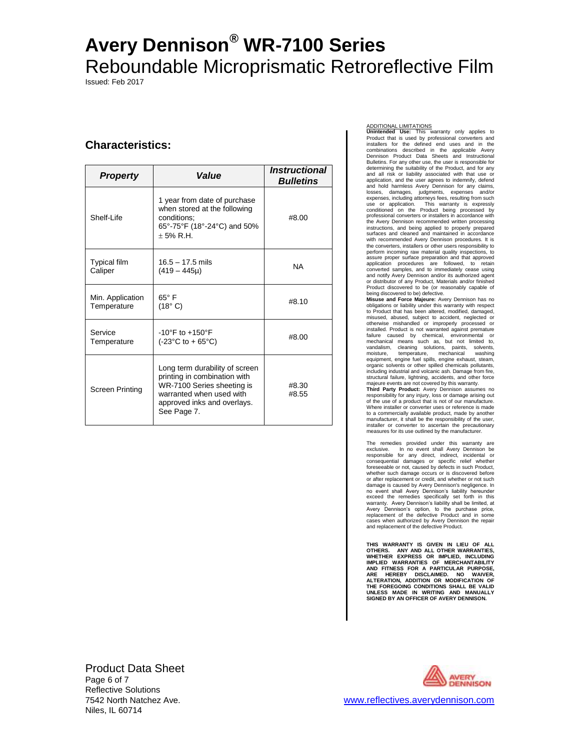Issued: Feb 2017

## **Characteristics:**

| <b>Property</b>                 | Value                                                                                                                                                                  | <i><b>Instructional</b></i><br><b>Bulletins</b> |
|---------------------------------|------------------------------------------------------------------------------------------------------------------------------------------------------------------------|-------------------------------------------------|
| Shelf-I ife                     | 1 year from date of purchase<br>when stored at the following<br>conditions:<br>65°-75°F (18°-24°C) and 50%<br>$+5%$ R.H.                                               | #8.00                                           |
| <b>Typical film</b><br>Caliper  | $16.5 - 17.5$ mils<br>$(419 - 445\mu)$                                                                                                                                 | <b>NA</b>                                       |
| Min. Application<br>Temperature | $65^{\circ}$ F<br>(18° C)                                                                                                                                              | #8.10                                           |
| Service<br>Temperature          | $-10^{\circ}$ F to $+150^{\circ}$ F<br>$(-23^{\circ}C \text{ to } +65^{\circ}C)$                                                                                       | #8.00                                           |
| <b>Screen Printing</b>          | Long term durability of screen<br>printing in combination with<br>WR-7100 Series sheeting is<br>warranted when used with<br>approved inks and overlays.<br>See Page 7. | #8.30<br>#8.55                                  |

#### ADDITIONAL LIMITATIONS

**Unintended Use:** This warranty only applies to Product that is used by professional converters and installers for the defined end uses and in the combinations described in the applicable Avery Dennison Product Data Sheets and Instructional Bulletins. For any other use, the user is responsible for determining the suitability of the Product, and for any and all risk or liability associated with that use or application, and the user agrees to indemnify, defend and hold harmless Avery Dennison for any claims, losses, damages, judgments, expenses and/or expenses, including attorneys fees, resulting from such use or application. This warranty is expressly conditioned on the Product being processed by professional converters or installers in accordance with the Avery Dennison recommended written processing instructions, and being applied to properly prepared surfaces and cleaned and maintained in accordance with recommended Avery Dennison procedures. It is the converters, installers or other users responsibility to perform incoming raw material quality inspections, to assure proper surface preparation and that approved application procedures are followed, to retain converted samples, and to immediately cease using and notify Avery Dennison and/or its authorized agent or distributor of any Product, Materials and/or finished Product discovered to be (or reasonably capable of being discovered to be) defective.

**Misuse and Force Majeure:** Avery Dennison has no obligations or liability under this warranty with respect to Product that has been altered, modified, damaged, misused, abused, subject to accident, neglected or otherwise mishandled or improperly processed or installed. Product is not warranted against premature failure caused by chemical, environmental or mechanical means such as, but not limited to, vandalism, cleaning solutions, paints, solvents, moisture, temperature, mechanical washing equipment, engine fuel spills, engine exhaust, steam, organic solvents or other spilled chemicals pollutants, including industrial and volcanic ash. Damage from fire, structural failure, lightning, accidents, and other force majeure events are not covered by this warranty.

**Third Party Product:** Avery Dennison assumes no responsibility for any injury, loss or damage arising out of the use of a product that is not of our manufacture. Where installer or converter uses or reference is made to a commercially available product, made by another manufacturer, it shall be the responsibility of the user, installer or converter to ascertain the precautionary measures for its use outlined by the manufacturer.

The remedies provided under this warranty are exclusive. In no event shall Avery Dennison be responsible for any direct, indirect, incidental or consequential damages or specific relief whether foreseeable or not, caused by defects in such Product, whether such damage occurs or is discovered before or after replacement or credit, and whether or not such damage is caused by Avery Dennison's negligence. In no event shall Avery Dennison's liability hereunder exceed the remedies specifically set forth in this warranty. Avery Dennison's liability shall be limited, at Avery Dennison's option, to the purchase price, replacement of the defective Product and in some cases when authorized by Avery Dennison the repair and replacement of the defective Product.

THIS WARRANTY IS GIVEN IN LIEU OF ALL<br>OTHERS. ANY AND ALL OTHER WARRANTIES,<br>WHETHER EXPRESS OR IMPLIED, INCLUDING<br>IMPLIED WARRANTIES OF MERCHANTABILITY<br>AND FITNESS FOR A PARTICULAR PURPOSE,<br>ARE HEREBY DISCLAIMED. NO WAUER, **THE FOREGOING CONDITIONS SHALL BE VALID UNLESS MADE IN WRITING AND MANUALLY SIGNED BY AN OFFICER OF AVERY DENNISON.**

Product Data Sheet Page 6 of 7 Reflective Solutions Niles, IL 60714